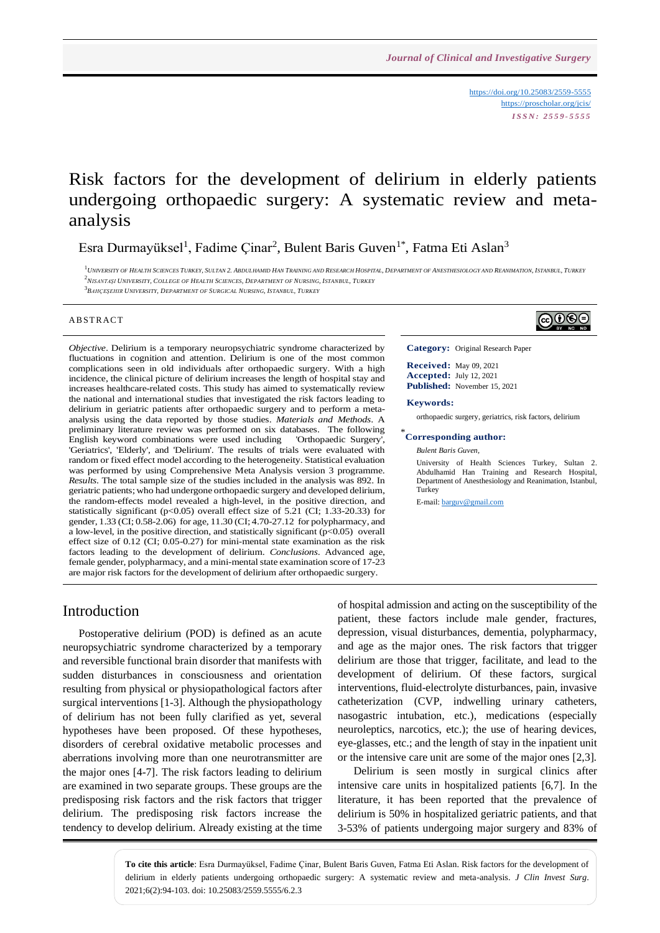<https://doi.org/10.25083/2559-5555> <https://proscholar.org/jcis/> *I S S N : 2 5 5 9 - 5 5 5 5*

# Risk factors for the development of delirium in elderly patients undergoing orthopaedic surgery: A systematic review and metaanalysis

Esra Durmayüksel<sup>1</sup>, Fadime Çinar<sup>2</sup>, Bulent Baris Guven<sup>1\*</sup>, Fatma Eti Aslan<sup>3</sup>

 $^1$  UNIVERSITY OF HEALTH SCIENCES TURKEY, SULTAN 2. ABDULHAMID HAN TRAINING AND RESEARCH HOSPITAL, DEPARTMENT OF ANESTHESIOLOGY AND REANIMATION, ISTANBUL, TURKEY <sup>2</sup>NISANTASI UNIVERSITY. COLLEGE OF HEALTH SCIENCES. DEPARTMENT OF NURSING. ISTANBUL, TURKEY

3 *BAHÇEŞEHIR UNIVERSITY, DEPARTMENT OF SURGICAL NURSING, ISTANBUL, TURKEY*

#### **ABSTRACT**

*Objective*. Delirium is a temporary neuropsychiatric syndrome characterized by fluctuations in cognition and attention. Delirium is one of the most common complications seen in old individuals after orthopaedic surgery. With a high incidence, the clinical picture of delirium increases the length of hospital stay and increases healthcare-related costs. This study has aimed to systematically review the national and international studies that investigated the risk factors leading to delirium in geriatric patients after orthopaedic surgery and to perform a metaanalysis using the data reported by those studies. *Materials and Methods*. A preliminary literature review was performed on six databases. The following English keyword combinations were used including 'Orthopaedic Surgery', 'Geriatrics', 'Elderly', and 'Delirium'. The results of trials were evaluated with random or fixed effect model according to the heterogeneity. Statistical evaluation was performed by using Comprehensive Meta Analysis version 3 programme. *Results*. The total sample size of the studies included in the analysis was 892. In geriatric patients; who had undergone orthopaedic surgery and developed delirium, the random-effects model revealed a high-level, in the positive direction, and statistically significant (p<0.05) overall effect size of 5.21 (CI; 1.33-20.33) for gender, 1.33 (CI; 0.58-2.06) for age, 11.30 (CI; 4.70-27.12 for polypharmacy, and a low-level, in the positive direction, and statistically significant  $(p<0.05)$  overall effect size of 0.12 (CI; 0.05-0.27) for mini-mental state examination as the risk factors leading to the development of delirium. *Conclusions*. Advanced age, female gender, polypharmacy, and a mini-mental state examination score of 17-23 are major risk factors for the development of delirium after orthopaedic surgery.



**Category:** Original Research Paper

**Received:** May 09, 2021 **Accepted:** July 12, 2021 **Published:** November 15, 2021

#### **Keywords:**

orthopaedic surgery, geriatrics, risk factors, delirium

### \* **Corresponding author:**

#### *Bulent Baris Guven,*

University of Health Sciences Turkey, Sultan 2. Abdulhamid Han Training and Research Hospital, Department of Anesthesiology and Reanimation, Istanbul, Turkey

E-mail: [barguv@gmail.com](mailto:barguv@gmail.com)

### Introduction

Postoperative delirium (POD) is defined as an acute neuropsychiatric syndrome characterized by a temporary and reversible functional brain disorder that manifests with sudden disturbances in consciousness and orientation resulting from physical or physiopathological factors after surgical interventions [1-3]. Although the physiopathology of delirium has not been fully clarified as yet, several hypotheses have been proposed. Of these hypotheses, disorders of cerebral oxidative metabolic processes and aberrations involving more than one neurotransmitter are the major ones [4-7]. The risk factors leading to delirium are examined in two separate groups. These groups are the predisposing risk factors and the risk factors that trigger delirium. The predisposing risk factors increase the tendency to develop delirium. Already existing at the time of hospital admission and acting on the susceptibility of the patient, these factors include male gender, fractures, depression, visual disturbances, dementia, polypharmacy, and age as the major ones. The risk factors that trigger delirium are those that trigger, facilitate, and lead to the development of delirium. Of these factors, surgical interventions, fluid-electrolyte disturbances, pain, invasive catheterization (CVP, indwelling urinary catheters, nasogastric intubation, etc.), medications (especially neuroleptics, narcotics, etc.); the use of hearing devices, eye-glasses, etc.; and the length of stay in the inpatient unit or the intensive care unit are some of the major ones [2,3].

Delirium is seen mostly in surgical clinics after intensive care units in hospitalized patients [6,7]. In the literature, it has been reported that the prevalence of delirium is 50% in hospitalized geriatric patients, and that 3-53% of patients undergoing major surgery and 83% of

**To cite this article**: Esra Durmayüksel, Fadime Çinar, Bulent Baris Guven, Fatma Eti Aslan. Risk factors for the development of delirium in elderly patients undergoing orthopaedic surgery: A systematic review and meta-analysis. *J Clin Invest Surg*. 2021;6(2):94-103. doi: 10.25083/2559.5555/6.2.3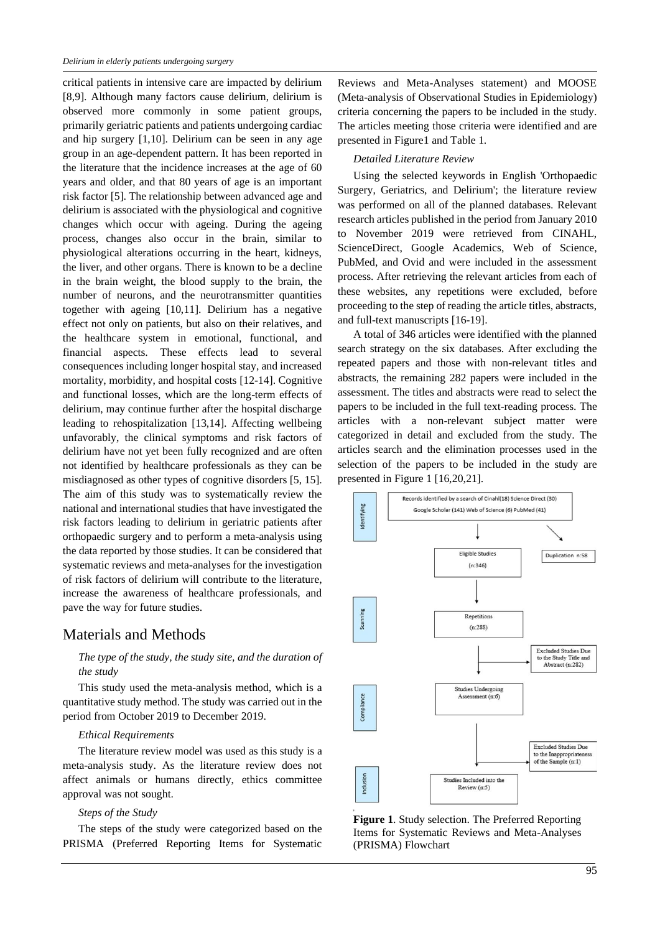critical patients in intensive care are impacted by delirium [8,9]. Although many factors cause delirium, delirium is observed more commonly in some patient groups, primarily geriatric patients and patients undergoing cardiac and hip surgery [1,10]. Delirium can be seen in any age group in an age-dependent pattern. It has been reported in the literature that the incidence increases at the age of 60 years and older, and that 80 years of age is an important risk factor [5]. The relationship between advanced age and delirium is associated with the physiological and cognitive changes which occur with ageing. During the ageing process, changes also occur in the brain, similar to physiological alterations occurring in the heart, kidneys, the liver, and other organs. There is known to be a decline in the brain weight, the blood supply to the brain, the number of neurons, and the neurotransmitter quantities together with ageing [10,11]. Delirium has a negative effect not only on patients, but also on their relatives, and the healthcare system in emotional, functional, and financial aspects. These effects lead to several consequences including longer hospital stay, and increased mortality, morbidity, and hospital costs [12-14]. Cognitive and functional losses, which are the long-term effects of delirium, may continue further after the hospital discharge leading to rehospitalization [13,14]. Affecting wellbeing unfavorably, the clinical symptoms and risk factors of delirium have not yet been fully recognized and are often not identified by healthcare professionals as they can be misdiagnosed as other types of cognitive disorders [5, 15]. The aim of this study was to systematically review the national and international studies that have investigated the risk factors leading to delirium in geriatric patients after orthopaedic surgery and to perform a meta-analysis using the data reported by those studies. It can be considered that systematic reviews and meta-analyses for the investigation of risk factors of delirium will contribute to the literature, increase the awareness of healthcare professionals, and pave the way for future studies.

## Materials and Methods

### *The type of the study, the study site, and the duration of the study*

This study used the meta-analysis method, which is a quantitative study method. The study was carried out in the period from October 2019 to December 2019.

#### *Ethical Requirements*

The literature review model was used as this study is a meta-analysis study. As the literature review does not affect animals or humans directly, ethics committee approval was not sought.

#### *Steps of the Study*

The steps of the study were categorized based on the PRISMA (Preferred Reporting Items for Systematic Reviews and Meta-Analyses statement) and MOOSE (Meta-analysis of Observational Studies in Epidemiology) criteria concerning the papers to be included in the study. The articles meeting those criteria were identified and are presented in Figure1 and Table 1.

#### *Detailed Literature Review*

Using the selected keywords in English 'Orthopaedic Surgery, Geriatrics, and Delirium'; the literature review was performed on all of the planned databases. Relevant research articles published in the period from January 2010 to November 2019 were retrieved from CINAHL, ScienceDirect, Google Academics, Web of Science, PubMed, and Ovid and were included in the assessment process. After retrieving the relevant articles from each of these websites, any repetitions were excluded, before proceeding to the step of reading the article titles, abstracts, and full-text manuscripts [16-19].

A total of 346 articles were identified with the planned search strategy on the six databases. After excluding the repeated papers and those with non-relevant titles and abstracts, the remaining 282 papers were included in the assessment. The titles and abstracts were read to select the papers to be included in the full text-reading process. The articles with a non-relevant subject matter were categorized in detail and excluded from the study. The articles search and the elimination processes used in the selection of the papers to be included in the study are presented in Figure 1 [16,20,21].



**Figure 1**. Study selection. The Preferred Reporting Items for Systematic Reviews and Meta-Analyses (PRISMA) Flowchart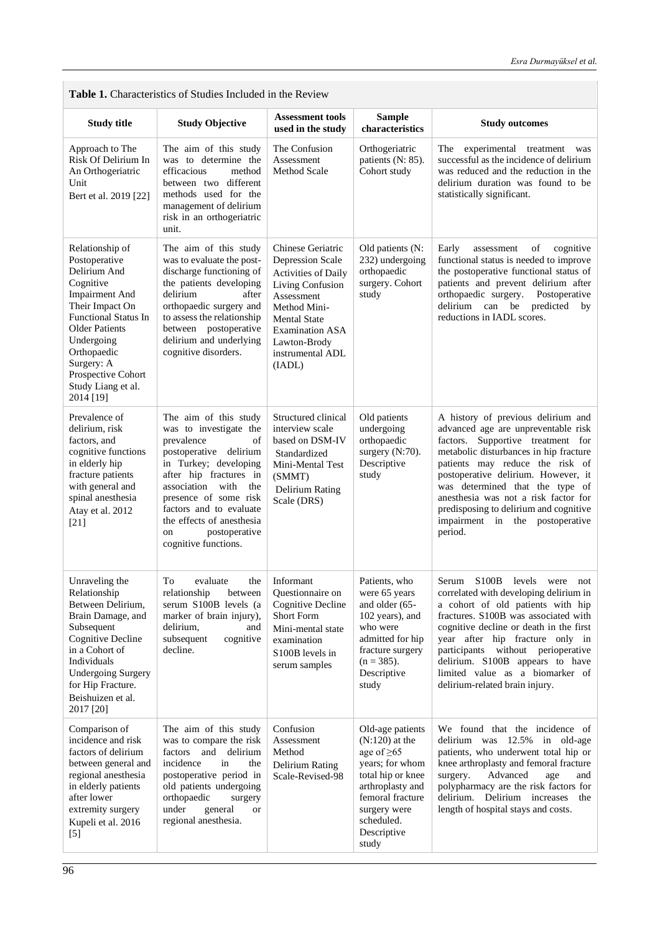٦

| <b>Table 1.</b> Characteristics of Studies Included in the Review                                                                                                                                                                                                     |                                                                                                                                                                                                                                                                                                                |                                                                                                                                                                                                                      |                                                                                                                                                                                                |                                                                                                                                                                                                                                                                                                                                                                                                       |  |  |  |  |  |  |
|-----------------------------------------------------------------------------------------------------------------------------------------------------------------------------------------------------------------------------------------------------------------------|----------------------------------------------------------------------------------------------------------------------------------------------------------------------------------------------------------------------------------------------------------------------------------------------------------------|----------------------------------------------------------------------------------------------------------------------------------------------------------------------------------------------------------------------|------------------------------------------------------------------------------------------------------------------------------------------------------------------------------------------------|-------------------------------------------------------------------------------------------------------------------------------------------------------------------------------------------------------------------------------------------------------------------------------------------------------------------------------------------------------------------------------------------------------|--|--|--|--|--|--|
| <b>Study Objective</b><br><b>Study title</b>                                                                                                                                                                                                                          |                                                                                                                                                                                                                                                                                                                | <b>Assessment tools</b><br>used in the study                                                                                                                                                                         | <b>Sample</b><br>characteristics                                                                                                                                                               | <b>Study outcomes</b>                                                                                                                                                                                                                                                                                                                                                                                 |  |  |  |  |  |  |
| Approach to The<br>Risk Of Delirium In<br>An Orthogeriatric<br>Unit<br>Bert et al. 2019 [22]                                                                                                                                                                          | The aim of this study<br>was to determine the<br>efficacious<br>method<br>between two different<br>methods used for the<br>management of delirium<br>risk in an orthogeriatric<br>unit.                                                                                                                        | The Confusion<br>Assessment<br><b>Method Scale</b>                                                                                                                                                                   | Orthogeriatric<br>patients (N: 85).<br>Cohort study                                                                                                                                            | The<br>experimental treatment<br>was<br>successful as the incidence of delirium<br>was reduced and the reduction in the<br>delirium duration was found to be<br>statistically significant.                                                                                                                                                                                                            |  |  |  |  |  |  |
| Relationship of<br>Postoperative<br>Delirium And<br>Cognitive<br><b>Impairment And</b><br>Their Impact On<br><b>Functional Status In</b><br><b>Older Patients</b><br>Undergoing<br>Orthopaedic<br>Surgery: A<br>Prospective Cohort<br>Study Liang et al.<br>2014 [19] | The aim of this study<br>was to evaluate the post-<br>discharge functioning of<br>the patients developing<br>delirium<br>after<br>orthopaedic surgery and<br>to assess the relationship<br>between postoperative<br>delirium and underlying<br>cognitive disorders.                                            | Chinese Geriatric<br>Depression Scale<br><b>Activities of Daily</b><br>Living Confusion<br>Assessment<br>Method Mini-<br><b>Mental State</b><br><b>Examination ASA</b><br>Lawton-Brody<br>instrumental ADL<br>(IADL) | Old patients (N:<br>232) undergoing<br>orthopaedic<br>surgery. Cohort<br>study                                                                                                                 | Early<br>assessment<br>of<br>cognitive<br>functional status is needed to improve<br>the postoperative functional status of<br>patients and prevent delirium after<br>orthopaedic surgery.<br>Postoperative<br>delirium can be predicted<br>by<br>reductions in IADL scores.                                                                                                                           |  |  |  |  |  |  |
| Prevalence of<br>delirium, risk<br>factors, and<br>cognitive functions<br>in elderly hip<br>fracture patients<br>with general and<br>spinal anesthesia<br>Atay et al. 2012<br>$[21]$                                                                                  | The aim of this study<br>was to investigate the<br>prevalence<br>of<br>postoperative delirium<br>in Turkey; developing<br>after hip fractures in<br>association<br>with<br>the<br>presence of some risk<br>factors and to evaluate<br>the effects of anesthesia<br>postoperative<br>on<br>cognitive functions. | Structured clinical<br>interview scale<br>based on DSM-IV<br>Standardized<br>Mini-Mental Test<br>(SMMT)<br>Delirium Rating<br>Scale (DRS)                                                                            | Old patients<br>undergoing<br>orthopaedic<br>surgery (N:70).<br>Descriptive<br>study                                                                                                           | A history of previous delirium and<br>advanced age are unpreventable risk<br>factors. Supportive treatment for<br>metabolic disturbances in hip fracture<br>patients may reduce the risk of<br>postoperative delirium. However, it<br>was determined that the type of<br>anesthesia was not a risk factor for<br>predisposing to delirium and cognitive<br>impairment in the postoperative<br>period. |  |  |  |  |  |  |
| Unraveling the<br>Relationship<br>Between Delirium,<br>Brain Damage, and<br>Subsequent<br><b>Cognitive Decline</b><br>in a Cohort of<br>Individuals<br><b>Undergoing Surgery</b><br>for Hip Fracture.<br>Beishuizen et al.<br>2017 [20]                               | To<br>evaluate<br>the<br>relationship<br>between<br>serum S100B levels (a<br>marker of brain injury),<br>delirium,<br>and<br>subsequent<br>cognitive<br>decline.                                                                                                                                               | Informant<br>Questionnaire on<br>Cognitive Decline<br><b>Short Form</b><br>Mini-mental state<br>examination<br>S100B levels in<br>serum samples                                                                      | Patients, who<br>were 65 years<br>and older (65-<br>102 years), and<br>who were<br>admitted for hip<br>fracture surgery<br>$(n = 385)$ .<br>Descriptive<br>study                               | Serum S100B levels were not<br>correlated with developing delirium in<br>a cohort of old patients with hip<br>fractures. S100B was associated with<br>cognitive decline or death in the first<br>year after hip fracture only in<br>without perioperative<br>participants<br>delirium. S100B appears to have<br>limited value as a biomarker of<br>delirium-related brain injury.                     |  |  |  |  |  |  |
| Comparison of<br>incidence and risk<br>factors of delirium<br>between general and<br>regional anesthesia<br>in elderly patients<br>after lower<br>extremity surgery<br>Kupeli et al. 2016<br>$[5]$                                                                    | The aim of this study<br>was to compare the risk<br>and delirium<br>factors<br>incidence<br>in<br>the<br>postoperative period in<br>old patients undergoing<br>orthopaedic<br>surgery<br>under<br>general<br><b>or</b><br>regional anesthesia.                                                                 | Confusion<br>Assessment<br>Method<br>Delirium Rating<br>Scale-Revised-98                                                                                                                                             | Old-age patients<br>$(N:120)$ at the<br>age of $\geq 65$<br>years; for whom<br>total hip or knee<br>arthroplasty and<br>femoral fracture<br>surgery were<br>scheduled.<br>Descriptive<br>study | We found that the incidence of<br>delirium was 12.5% in old-age<br>patients, who underwent total hip or<br>knee arthroplasty and femoral fracture<br>Advanced<br>surgery.<br>age<br>and<br>polypharmacy are the risk factors for<br>delirium. Delirium increases<br>the<br>length of hospital stays and costs.                                                                                        |  |  |  |  |  |  |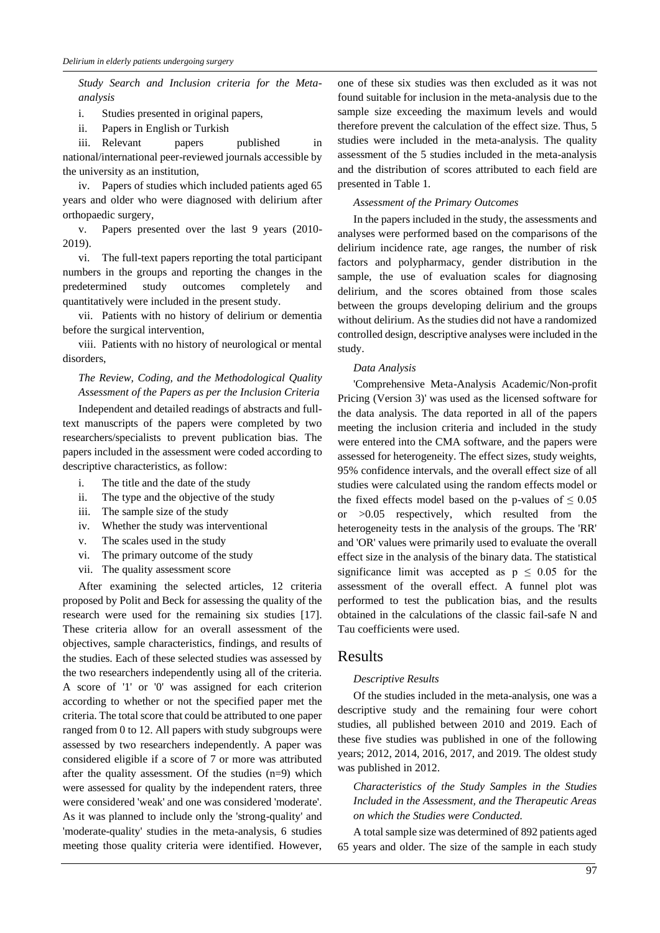*Study Search and Inclusion criteria for the Metaanalysis* 

i. Studies presented in original papers,

ii. Papers in English or Turkish

iii. Relevant papers published in national/international peer-reviewed journals accessible by the university as an institution,

iv. Papers of studies which included patients aged 65 years and older who were diagnosed with delirium after orthopaedic surgery,

v. Papers presented over the last 9 years (2010- 2019).

vi. The full-text papers reporting the total participant numbers in the groups and reporting the changes in the predetermined study outcomes completely and quantitatively were included in the present study.

vii. Patients with no history of delirium or dementia before the surgical intervention,

viii. Patients with no history of neurological or mental disorders,

### *The Review, Coding, and the Methodological Quality Assessment of the Papers as per the Inclusion Criteria*

Independent and detailed readings of abstracts and fulltext manuscripts of the papers were completed by two researchers/specialists to prevent publication bias. The papers included in the assessment were coded according to descriptive characteristics, as follow:

- i. The title and the date of the study
- ii. The type and the objective of the study
- iii. The sample size of the study
- iv. Whether the study was interventional
- v. The scales used in the study
- vi. The primary outcome of the study
- vii. The quality assessment score

After examining the selected articles, 12 criteria proposed by Polit and Beck for assessing the quality of the research were used for the remaining six studies [17]. These criteria allow for an overall assessment of the objectives, sample characteristics, findings, and results of the studies. Each of these selected studies was assessed by the two researchers independently using all of the criteria. A score of '1' or '0' was assigned for each criterion according to whether or not the specified paper met the criteria. The total score that could be attributed to one paper ranged from 0 to 12. All papers with study subgroups were assessed by two researchers independently. A paper was considered eligible if a score of 7 or more was attributed after the quality assessment. Of the studies (n=9) which were assessed for quality by the independent raters, three were considered 'weak' and one was considered 'moderate'. As it was planned to include only the 'strong-quality' and 'moderate-quality' studies in the meta-analysis, 6 studies meeting those quality criteria were identified. However,

one of these six studies was then excluded as it was not found suitable for inclusion in the meta-analysis due to the sample size exceeding the maximum levels and would therefore prevent the calculation of the effect size. Thus, 5 studies were included in the meta-analysis. The quality assessment of the 5 studies included in the meta-analysis and the distribution of scores attributed to each field are presented in Table 1.

#### *Assessment of the Primary Outcomes*

In the papers included in the study, the assessments and analyses were performed based on the comparisons of the delirium incidence rate, age ranges, the number of risk factors and polypharmacy, gender distribution in the sample, the use of evaluation scales for diagnosing delirium, and the scores obtained from those scales between the groups developing delirium and the groups without delirium. As the studies did not have a randomized controlled design, descriptive analyses were included in the study.

#### *Data Analysis*

'Comprehensive Meta-Analysis Academic/Non-profit Pricing (Version 3)' was used as the licensed software for the data analysis. The data reported in all of the papers meeting the inclusion criteria and included in the study were entered into the CMA software, and the papers were assessed for heterogeneity. The effect sizes, study weights, 95% confidence intervals, and the overall effect size of all studies were calculated using the random effects model or the fixed effects model based on the p-values of  $\leq 0.05$ or >0.05 respectively, which resulted from the heterogeneity tests in the analysis of the groups. The 'RR' and 'OR' values were primarily used to evaluate the overall effect size in the analysis of the binary data. The statistical significance limit was accepted as  $p \leq 0.05$  for the assessment of the overall effect. A funnel plot was performed to test the publication bias, and the results obtained in the calculations of the classic fail-safe N and Tau coefficients were used.

### Results

#### *Descriptive Results*

Of the studies included in the meta-analysis, one was a descriptive study and the remaining four were cohort studies, all published between 2010 and 2019. Each of these five studies was published in one of the following years; 2012, 2014, 2016, 2017, and 2019. The oldest study was published in 2012.

*Characteristics of the Study Samples in the Studies Included in the Assessment, and the Therapeutic Areas on which the Studies were Conducted.*

A total sample size was determined of 892 patients aged 65 years and older. The size of the sample in each study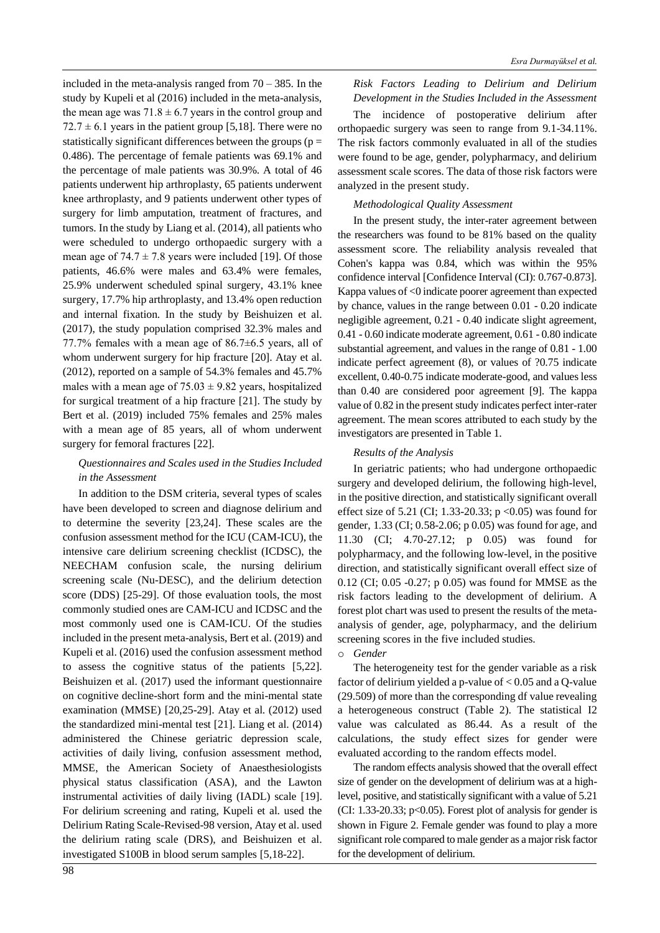included in the meta-analysis ranged from  $70 - 385$ . In the study by Kupeli et al (2016) included in the meta-analysis, the mean age was  $71.8 \pm 6.7$  years in the control group and  $72.7 \pm 6.1$  years in the patient group [5,18]. There were no statistically significant differences between the groups ( $p =$ 0.486). The percentage of female patients was 69.1% and the percentage of male patients was 30.9%. A total of 46 patients underwent hip arthroplasty, 65 patients underwent knee arthroplasty, and 9 patients underwent other types of surgery for limb amputation, treatment of fractures, and tumors. In the study by Liang et al. (2014), all patients who were scheduled to undergo orthopaedic surgery with a mean age of  $74.7 \pm 7.8$  years were included [19]. Of those patients, 46.6% were males and 63.4% were females, 25.9% underwent scheduled spinal surgery, 43.1% knee surgery, 17.7% hip arthroplasty, and 13.4% open reduction and internal fixation. In the study by Beishuizen et al. (2017), the study population comprised 32.3% males and 77.7% females with a mean age of 86.7±6.5 years, all of whom underwent surgery for hip fracture [20]. Atay et al. (2012), reported on a sample of 54.3% females and 45.7% males with a mean age of  $75.03 \pm 9.82$  years, hospitalized for surgical treatment of a hip fracture [21]. The study by Bert et al. (2019) included 75% females and 25% males with a mean age of 85 years, all of whom underwent surgery for femoral fractures [22].

### *Questionnaires and Scales used in the Studies Included in the Assessment*

In addition to the DSM criteria, several types of scales have been developed to screen and diagnose delirium and to determine the severity [23,24]. These scales are the confusion assessment method for the ICU (CAM-ICU), the intensive care delirium screening checklist (ICDSC), the NEECHAM confusion scale, the nursing delirium screening scale (Nu-DESC), and the delirium detection score (DDS) [25-29]. Of those evaluation tools, the most commonly studied ones are CAM-ICU and ICDSC and the most commonly used one is CAM-ICU. Of the studies included in the present meta-analysis, Bert et al. (2019) and Kupeli et al. (2016) used the confusion assessment method to assess the cognitive status of the patients [5,22]. Beishuizen et al. (2017) used the informant questionnaire on cognitive decline-short form and the mini-mental state examination (MMSE) [20,25-29]. Atay et al. (2012) used the standardized mini-mental test [21]. Liang et al. (2014) administered the Chinese geriatric depression scale, activities of daily living, confusion assessment method, MMSE, the American Society of Anaesthesiologists physical status classification (ASA), and the Lawton instrumental activities of daily living (IADL) scale [19]. For delirium screening and rating, Kupeli et al. used the Delirium Rating Scale-Revised-98 version, Atay et al. used the delirium rating scale (DRS), and Beishuizen et al. investigated S100B in blood serum samples [5,18-22].

### *Risk Factors Leading to Delirium and Delirium Development in the Studies Included in the Assessment*

The incidence of postoperative delirium after orthopaedic surgery was seen to range from 9.1-34.11%. The risk factors commonly evaluated in all of the studies were found to be age, gender, polypharmacy, and delirium assessment scale scores. The data of those risk factors were analyzed in the present study.

#### *Methodological Quality Assessment*

In the present study, the inter-rater agreement between the researchers was found to be 81% based on the quality assessment score. The reliability analysis revealed that Cohen's kappa was 0.84, which was within the 95% confidence interval [Confidence Interval (CI): 0.767-0.873]. Kappa values of <0 indicate poorer agreement than expected by chance, values in the range between 0.01 - 0.20 indicate negligible agreement, 0.21 - 0.40 indicate slight agreement, 0.41 - 0.60 indicate moderate agreement, 0.61 - 0.80 indicate substantial agreement, and values in the range of 0.81 - 1.00 indicate perfect agreement (8), or values of ?0.75 indicate excellent, 0.40-0.75 indicate moderate-good, and values less than 0.40 are considered poor agreement [9]. The kappa value of 0.82 in the present study indicates perfect inter-rater agreement. The mean scores attributed to each study by the investigators are presented in Table 1.

### *Results of the Analysis*

In geriatric patients; who had undergone orthopaedic surgery and developed delirium, the following high-level, in the positive direction, and statistically significant overall effect size of 5.21 (CI; 1.33-20.33;  $p < 0.05$ ) was found for gender, 1.33 (CI; 0.58-2.06; p 0.05) was found for age, and 11.30 (CI; 4.70-27.12; p 0.05) was found for polypharmacy, and the following low-level, in the positive direction, and statistically significant overall effect size of 0.12 (CI; 0.05 -0.27; p 0.05) was found for MMSE as the risk factors leading to the development of delirium. A forest plot chart was used to present the results of the metaanalysis of gender, age, polypharmacy, and the delirium screening scores in the five included studies.

#### o *Gender*

The heterogeneity test for the gender variable as a risk factor of delirium yielded a p-value of < 0.05 and a Q-value (29.509) of more than the corresponding df value revealing a heterogeneous construct (Table 2). The statistical I2 value was calculated as 86.44. As a result of the calculations, the study effect sizes for gender were evaluated according to the random effects model.

The random effects analysis showed that the overall effect size of gender on the development of delirium was at a highlevel, positive, and statistically significant with a value of 5.21 (CI: 1.33-20.33;  $p<0.05$ ). Forest plot of analysis for gender is shown in Figure 2. Female gender was found to play a more significant role compared to male gender as a major risk factor for the development of delirium.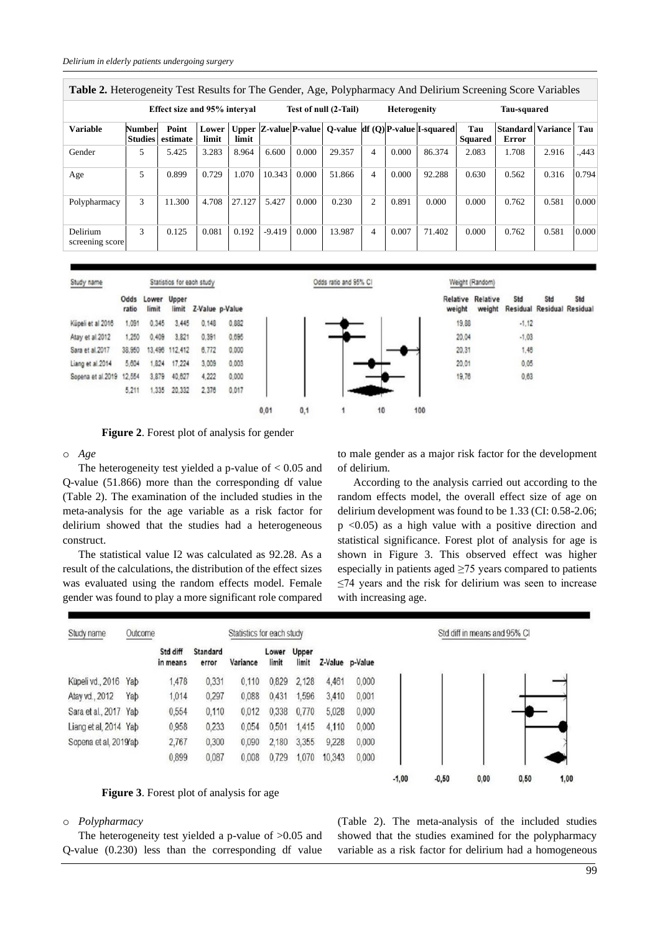| <b>Table 2.</b> Heterogeneity Test Results for The Gender, Age, Polypharmacy And Delirium Screening Score Variables |                                     |                   |       |        |                       |       |        |                          |       |                                                                         |                       |                                          |       |       |
|---------------------------------------------------------------------------------------------------------------------|-------------------------------------|-------------------|-------|--------|-----------------------|-------|--------|--------------------------|-------|-------------------------------------------------------------------------|-----------------------|------------------------------------------|-------|-------|
|                                                                                                                     | <b>Effect size and 95% interval</b> |                   |       |        | Test of null (2-Tail) |       |        | <b>Heterogenity</b>      |       | Tau-squared                                                             |                       |                                          |       |       |
| <b>Variable</b>                                                                                                     | Number<br><b>Studies</b>            | Point<br>estimate | limit | limit  |                       |       |        |                          |       | Lower   Upper   Z-value  P-value   O-value   df (O)  P-value  I-squared | Tau<br><b>Squared</b> | <b>Standard Variance</b><br><b>Error</b> |       | Tau   |
| Gender                                                                                                              | 5                                   | 5.425             | 3.283 | 8.964  | 6.600                 | 0.000 | 29.357 | $\overline{\mathcal{A}}$ | 0.000 | 86.374                                                                  | 2.083                 | 1.708                                    | 2.916 | .,443 |
| Age                                                                                                                 | 5                                   | 0.899             | 0.729 | 1.070  | 10.343                | 0.000 | 51.866 | $\overline{4}$           | 0.000 | 92.288                                                                  | 0.630                 | 0.562                                    | 0.316 | 0.794 |
| Polypharmacy                                                                                                        | 3                                   | 11.300            | 4.708 | 27.127 | 5.427                 | 0.000 | 0.230  | 2                        | 0.891 | 0.000                                                                   | 0.000                 | 0.762                                    | 0.581 | 0.000 |
| <b>Delirium</b><br>screening score                                                                                  | 3                                   | 0.125             | 0.081 | 0.192  | $-9.419$              | 0.000 | 13.987 | $\overline{4}$           | 0.007 | 71.402                                                                  | 0.000                 | 0.762                                    | 0.581 | 0.000 |





**Figure 2**. Forest plot of analysis for gender

#### o *Age*

The heterogeneity test yielded a p-value of  $< 0.05$  and Q-value (51.866) more than the corresponding df value (Table 2). The examination of the included studies in the meta-analysis for the age variable as a risk factor for delirium showed that the studies had a heterogeneous construct.

The statistical value I2 was calculated as 92.28. As a result of the calculations, the distribution of the effect sizes was evaluated using the random effects model. Female gender was found to play a more significant role compared

to male gender as a major risk factor for the development of delirium.

According to the analysis carried out according to the random effects model, the overall effect size of age on delirium development was found to be 1.33 (CI: 0.58-2.06; p <0.05) as a high value with a positive direction and statistical significance. Forest plot of analysis for age is shown in Figure 3. This observed effect was higher especially in patients aged  $\geq$ 75 years compared to patients ≤74 years and the risk for delirium was seen to increase with increasing age.

| Study name            | Outcome |                      |                   | Statistics for each study |                |                |        |                 |         | Std diff in means and 95% CI |      |      |      |  |
|-----------------------|---------|----------------------|-------------------|---------------------------|----------------|----------------|--------|-----------------|---------|------------------------------|------|------|------|--|
|                       |         | Std diff<br>in means | Standard<br>error | Variance                  | Lower<br>limit | Upper<br>limit |        | Z-Value p-Value |         |                              |      |      |      |  |
| Küpeli vd., 2016      | Yab     | 1,478                | 0,331             | 0.110                     | 0,829          | 2,128          | 4,461  | 0.000           |         |                              |      |      |      |  |
| Atay vd., 2012        | Yab     | 1,014                | 0,297             | 0,088                     | 0.431          | ,596           | 3,410  | 0,001           |         |                              |      |      |      |  |
| Sara et al., 2017 Yab |         | 0,554                | 0,110             | 0,012                     | 0.338          | 0.770          | 5,028  | 0.000           |         |                              |      |      |      |  |
| Liang et al. 2014 Yab |         | 0,958                | 0,233             | 0.054                     | 0.501          | 1.415          | 4,110  | 0.000           |         |                              |      |      |      |  |
| Sopena et al, 2019/ab |         | 2,767                | 0,300             | 0.090                     | 2,180          | 3,355          | 9,228  | 0,000           |         |                              |      |      |      |  |
|                       |         | 0,899                | 0,087             | 0,008                     | 0.729          | 1,070          | 10,343 | 0,000           |         |                              |      |      |      |  |
|                       |         |                      |                   |                           |                |                |        |                 | $-1,00$ | $-0,50$                      | 0,00 | 0,50 | 1,00 |  |



#### o *Polypharmacy*

The heterogeneity test yielded a p-value of  $>0.05$  and Q-value (0.230) less than the corresponding df value (Table 2). The meta-analysis of the included studies showed that the studies examined for the polypharmacy variable as a risk factor for delirium had a homogeneous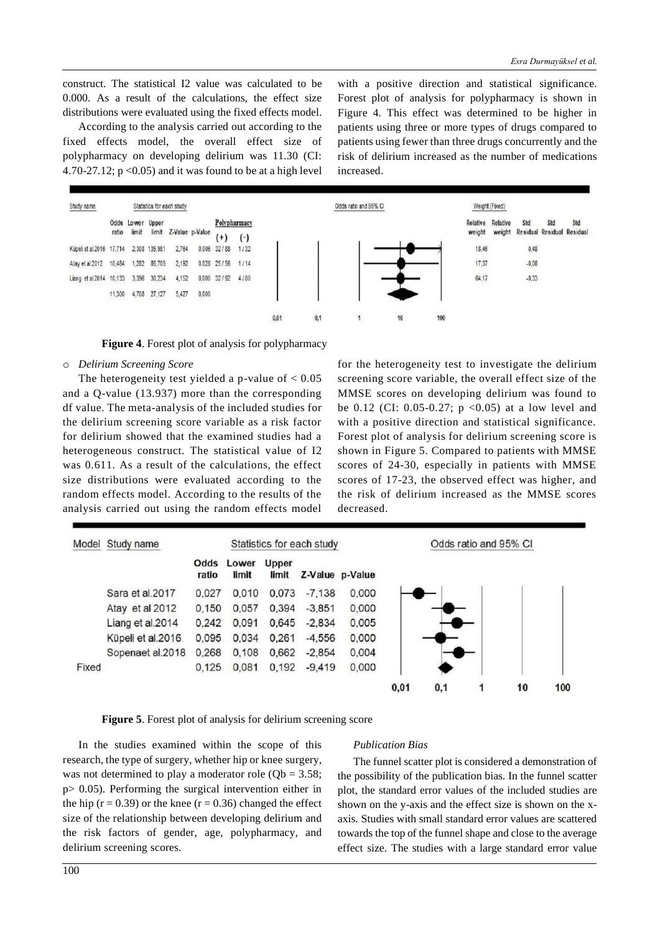construct. The statistical I2 value was calculated to be 0.000. As a result of the calculations, the effect size distributions were evaluated using the fixed effects model.

According to the analysis carried out according to the fixed effects model, the overall effect size of polypharmacy on developing delirium was 11.30 (CI: 4.70-27.12;  $p \le 0.05$ ) and it was found to be at a high level

with a positive direction and statistical significance. Forest plot of analysis for polypharmacy is shown in Figure 4. This effect was determined to be higher in patients using three or more types of drugs compared to patients using fewer than three drugs concurrently and the risk of delirium increased as the number of medications increased.



**Figure 4**. Forest plot of analysis for polypharmacy

#### o *Delirium Screening Score*

The heterogeneity test yielded a p-value of  $< 0.05$ and a Q-value (13.937) more than the corresponding df value. The meta-analysis of the included studies for the delirium screening score variable as a risk factor for delirium showed that the examined studies had a heterogeneous construct. The statistical value of I2 was 0.611. As a result of the calculations, the effect size distributions were evaluated according to the random effects model. According to the results of the analysis carried out using the random effects model

for the heterogeneity test to investigate the delirium screening score variable, the overall effect size of the MMSE scores on developing delirium was found to be 0.12 (CI: 0.05-0.27;  $p \le 0.05$ ) at a low level and with a positive direction and statistical significance. Forest plot of analysis for delirium screening score is shown in Figure 5. Compared to patients with MMSE scores of 24-30, especially in patients with MMSE scores of 17-23, the observed effect was higher, and the risk of delirium increased as the MMSE scores decreased.





In the studies examined within the scope of this research, the type of surgery, whether hip or knee surgery, was not determined to play a moderator role ( $Qb = 3.58$ ; p> 0.05). Performing the surgical intervention either in the hip ( $r = 0.39$ ) or the knee ( $r = 0.36$ ) changed the effect size of the relationship between developing delirium and the risk factors of gender, age, polypharmacy, and delirium screening scores.

#### *Publication Bias*

The funnel scatter plot is considered a demonstration of the possibility of the publication bias. In the funnel scatter plot, the standard error values of the included studies are shown on the y-axis and the effect size is shown on the xaxis. Studies with small standard error values are scattered towards the top of the funnel shape and close to the average effect size. The studies with a large standard error value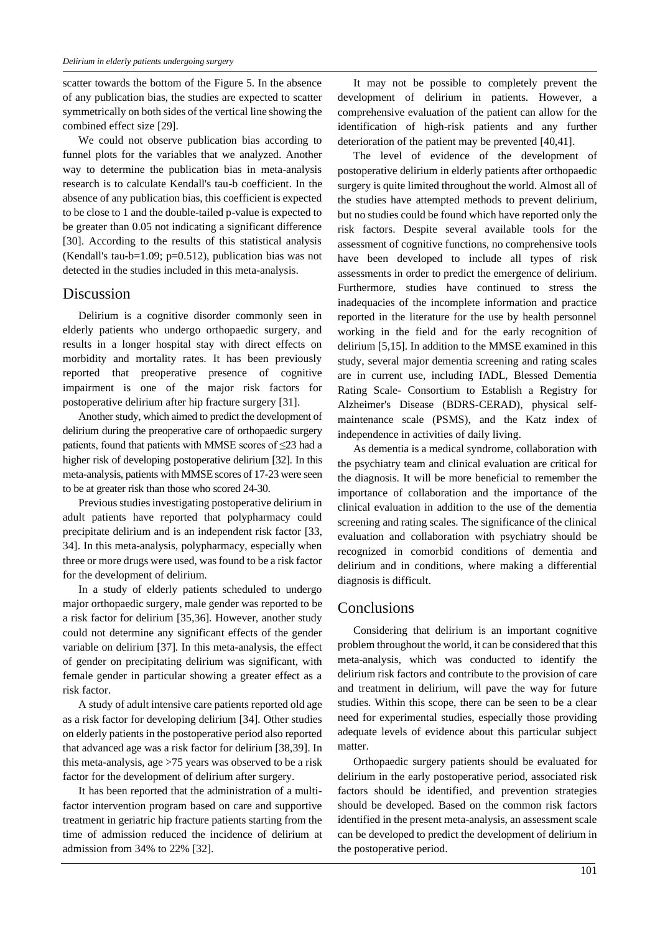scatter towards the bottom of the Figure 5. In the absence of any publication bias, the studies are expected to scatter symmetrically on both sides of the vertical line showing the combined effect size [29].

We could not observe publication bias according to funnel plots for the variables that we analyzed. Another way to determine the publication bias in meta-analysis research is to calculate Kendall's tau-b coefficient. In the absence of any publication bias, this coefficient is expected to be close to 1 and the double-tailed p-value is expected to be greater than 0.05 not indicating a significant difference [30]. According to the results of this statistical analysis (Kendall's tau-b=1.09; p=0.512), publication bias was not detected in the studies included in this meta-analysis.

### Discussion

Delirium is a cognitive disorder commonly seen in elderly patients who undergo orthopaedic surgery, and results in a longer hospital stay with direct effects on morbidity and mortality rates. It has been previously reported that preoperative presence of cognitive impairment is one of the major risk factors for postoperative delirium after hip fracture surgery [31].

Another study, which aimed to predict the development of delirium during the preoperative care of orthopaedic surgery patients, found that patients with MMSE scores of ≤23 had a higher risk of developing postoperative delirium [32]. In this meta-analysis, patients with MMSE scores of 17-23 were seen to be at greater risk than those who scored 24-30.

Previous studies investigating postoperative delirium in adult patients have reported that polypharmacy could precipitate delirium and is an independent risk factor [33, 34]. In this meta-analysis, polypharmacy, especially when three or more drugs were used, was found to be a risk factor for the development of delirium.

In a study of elderly patients scheduled to undergo major orthopaedic surgery, male gender was reported to be a risk factor for delirium [35,36]. However, another study could not determine any significant effects of the gender variable on delirium [37]. In this meta-analysis, the effect of gender on precipitating delirium was significant, with female gender in particular showing a greater effect as a risk factor.

A study of adult intensive care patients reported old age as a risk factor for developing delirium [34]. Other studies on elderly patients in the postoperative period also reported that advanced age was a risk factor for delirium [38,39]. In this meta-analysis, age >75 years was observed to be a risk factor for the development of delirium after surgery.

It has been reported that the administration of a multifactor intervention program based on care and supportive treatment in geriatric hip fracture patients starting from the time of admission reduced the incidence of delirium at admission from 34% to 22% [32].

It may not be possible to completely prevent the development of delirium in patients. However, a comprehensive evaluation of the patient can allow for the identification of high-risk patients and any further deterioration of the patient may be prevented [40,41].

The level of evidence of the development of postoperative delirium in elderly patients after orthopaedic surgery is quite limited throughout the world. Almost all of the studies have attempted methods to prevent delirium, but no studies could be found which have reported only the risk factors. Despite several available tools for the assessment of cognitive functions, no comprehensive tools have been developed to include all types of risk assessments in order to predict the emergence of delirium. Furthermore, studies have continued to stress the inadequacies of the incomplete information and practice reported in the literature for the use by health personnel working in the field and for the early recognition of delirium [5,15]. In addition to the MMSE examined in this study, several major dementia screening and rating scales are in current use, including IADL, Blessed Dementia Rating Scale- Consortium to Establish a Registry for Alzheimer's Disease (BDRS-CERAD), physical selfmaintenance scale (PSMS), and the Katz index of independence in activities of daily living.

As dementia is a medical syndrome, collaboration with the psychiatry team and clinical evaluation are critical for the diagnosis. It will be more beneficial to remember the importance of collaboration and the importance of the clinical evaluation in addition to the use of the dementia screening and rating scales. The significance of the clinical evaluation and collaboration with psychiatry should be recognized in comorbid conditions of dementia and delirium and in conditions, where making a differential diagnosis is difficult.

### **Conclusions**

Considering that delirium is an important cognitive problem throughout the world, it can be considered that this meta-analysis, which was conducted to identify the delirium risk factors and contribute to the provision of care and treatment in delirium, will pave the way for future studies. Within this scope, there can be seen to be a clear need for experimental studies, especially those providing adequate levels of evidence about this particular subject matter.

Orthopaedic surgery patients should be evaluated for delirium in the early postoperative period, associated risk factors should be identified, and prevention strategies should be developed. Based on the common risk factors identified in the present meta-analysis, an assessment scale can be developed to predict the development of delirium in the postoperative period.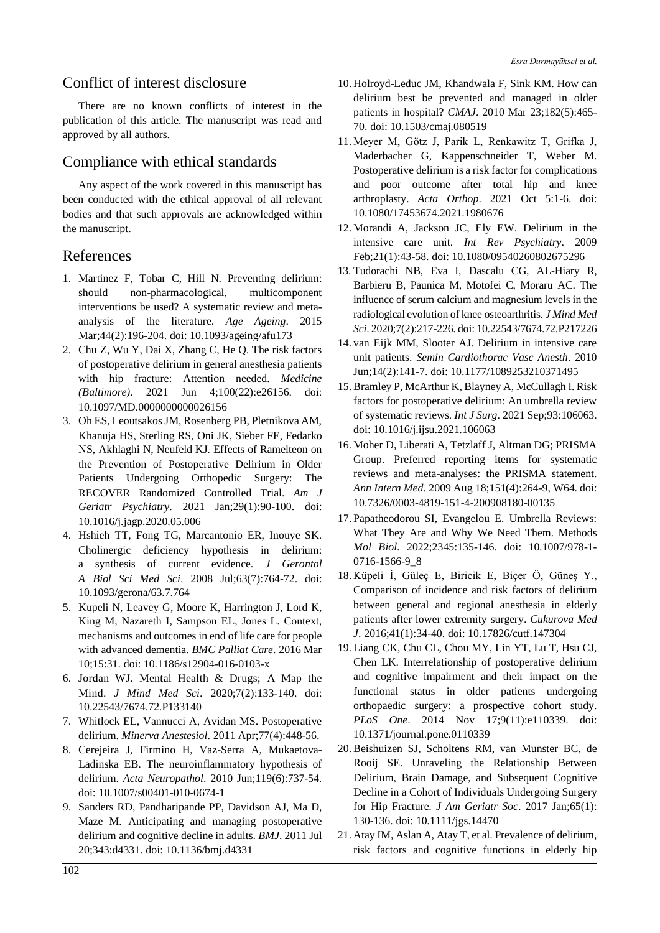# Conflict of interest disclosure

There are no known conflicts of interest in the publication of this article. The manuscript was read and approved by all authors.

# Compliance with ethical standards

Any aspect of the work covered in this manuscript has been conducted with the ethical approval of all relevant bodies and that such approvals are acknowledged within the manuscript.

# References

- 1. Martinez F, Tobar C, Hill N. Preventing delirium: should non-pharmacological, multicomponent interventions be used? A systematic review and metaanalysis of the literature. *Age Ageing*. 2015 Mar;44(2):196-204. doi: 10.1093/ageing/afu173
- 2. Chu Z, Wu Y, Dai X, Zhang C, He Q. The risk factors of postoperative delirium in general anesthesia patients with hip fracture: Attention needed. *Medicine (Baltimore)*. 2021 Jun 4;100(22):e26156. doi: 10.1097/MD.0000000000026156
- 3. Oh ES, Leoutsakos JM, Rosenberg PB, Pletnikova AM, Khanuja HS, Sterling RS, Oni JK, Sieber FE, Fedarko NS, Akhlaghi N, Neufeld KJ. Effects of Ramelteon on the Prevention of Postoperative Delirium in Older Patients Undergoing Orthopedic Surgery: The RECOVER Randomized Controlled Trial. *Am J Geriatr Psychiatry*. 2021 Jan;29(1):90-100. doi: 10.1016/j.jagp.2020.05.006
- 4. Hshieh TT, Fong TG, Marcantonio ER, Inouye SK. Cholinergic deficiency hypothesis in delirium: a synthesis of current evidence. *J Gerontol A Biol Sci Med Sci*. 2008 Jul;63(7):764-72. doi: 10.1093/gerona/63.7.764
- 5. Kupeli N, Leavey G, Moore K, Harrington J, Lord K, King M, Nazareth I, Sampson EL, Jones L. Context, mechanisms and outcomes in end of life care for people with advanced dementia. *BMC Palliat Care*. 2016 Mar 10;15:31. doi: 10.1186/s12904-016-0103-x
- 6. Jordan WJ. Mental Health & Drugs; A Map the Mind. *J Mind Med Sci*. 2020;7(2):133-140. doi: 10.22543/7674.72.P133140
- 7. Whitlock EL, Vannucci A, Avidan MS. Postoperative delirium. *Minerva Anestesiol*. 2011 Apr;77(4):448-56.
- 8. Cerejeira J, Firmino H, Vaz-Serra A, Mukaetova-Ladinska EB. The neuroinflammatory hypothesis of delirium. *Acta Neuropathol*. 2010 Jun;119(6):737-54. doi: 10.1007/s00401-010-0674-1
- 9. Sanders RD, Pandharipande PP, Davidson AJ, Ma D, Maze M. Anticipating and managing postoperative delirium and cognitive decline in adults. *BMJ*. 2011 Jul 20;343:d4331. doi: 10.1136/bmj.d4331
- 10. Holroyd-Leduc JM, Khandwala F, Sink KM. How can delirium best be prevented and managed in older patients in hospital? *CMAJ*. 2010 Mar 23;182(5):465- 70. doi: 10.1503/cmaj.080519
- 11. Meyer M, Götz J, Parik L, Renkawitz T, Grifka J, Maderbacher G, Kappenschneider T, Weber M. Postoperative delirium is a risk factor for complications and poor outcome after total hip and knee arthroplasty. *Acta Orthop*. 2021 Oct 5:1-6. doi: 10.1080/17453674.2021.1980676
- 12. Morandi A, Jackson JC, Ely EW. Delirium in the intensive care unit. *Int Rev Psychiatry*. 2009 Feb;21(1):43-58. doi: 10.1080/09540260802675296
- 13. Tudorachi NB, Eva I, Dascalu CG, AL-Hiary R, Barbieru B, Paunica M, Motofei C, Moraru AC. The influence of serum calcium and magnesium levels in the radiological evolution of knee osteoarthritis. *J Mind Med Sci*. 2020;7(2):217-226. doi: 10.22543/7674.72.P217226
- 14. van Eijk MM, Slooter AJ. Delirium in intensive care unit patients. *Semin Cardiothorac Vasc Anesth*. 2010 Jun;14(2):141-7. doi: 10.1177/1089253210371495
- 15. Bramley P, McArthur K, Blayney A, McCullagh I. Risk factors for postoperative delirium: An umbrella review of systematic reviews. *Int J Surg*. 2021 Sep;93:106063. doi: 10.1016/j.ijsu.2021.106063
- 16. Moher D, Liberati A, Tetzlaff J, Altman DG; PRISMA Group. Preferred reporting items for systematic reviews and meta-analyses: the PRISMA statement. *Ann Intern Med*. 2009 Aug 18;151(4):264-9, W64. doi: 10.7326/0003-4819-151-4-200908180-00135
- 17.Papatheodorou SI, Evangelou E. Umbrella Reviews: What They Are and Why We Need Them. Methods *Mol Biol*. 2022;2345:135-146. doi: 10.1007/978-1- 0716-1566-9\_8
- 18. Küpeli İ, Güleç E, Biricik E, Biçer Ö, Güneş Y., Comparison of incidence and risk factors of delirium between general and regional anesthesia in elderly patients after lower extremity surgery. *Cukurova Med J*. 2016;41(1):34-40. doi: 10.17826/cutf.147304
- 19. Liang CK, Chu CL, Chou MY, Lin YT, Lu T, Hsu CJ, Chen LK. Interrelationship of postoperative delirium and cognitive impairment and their impact on the functional status in older patients undergoing orthopaedic surgery: a prospective cohort study. *PLoS One*. 2014 Nov 17;9(11):e110339. doi: 10.1371/journal.pone.0110339
- 20. Beishuizen SJ, Scholtens RM, van Munster BC, de Rooij SE. Unraveling the Relationship Between Delirium, Brain Damage, and Subsequent Cognitive Decline in a Cohort of Individuals Undergoing Surgery for Hip Fracture. *J Am Geriatr Soc*. 2017 Jan;65(1): 130-136. doi: 10.1111/jgs.14470
- 21. Atay IM, Aslan A, Atay T, et al. Prevalence of delirium, risk factors and cognitive functions in elderly hip